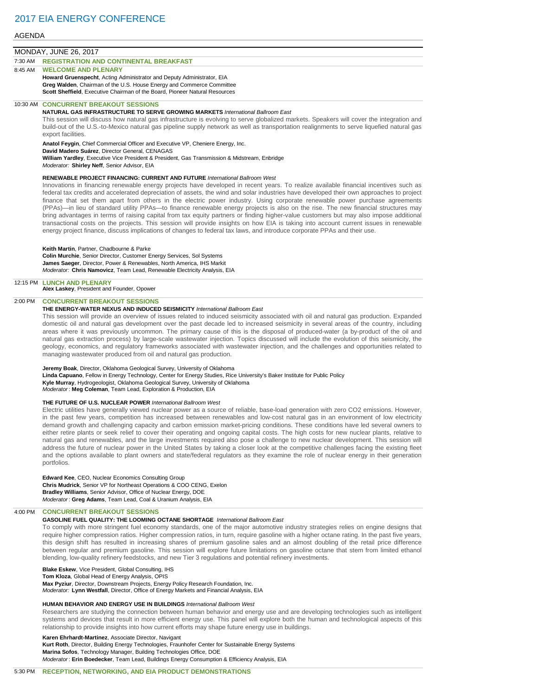#### AGENDA

## MONDAY, JUNE 26, 2017

7:30 AM **REGISTRATION AND CONTINENTAL BREAKFAST**

## **WELCOME AND PLENARY**

**Howard Gruenspecht**, Acting Administrator and Deputy Administrator, EIA **Greg Walden**, Chairman of the U.S. House Energy and Commerce Committee **Scott Sheffield**, Executive Chairman of the Board, Pioneer Natural Resources

### 10:30 AM **CONCURRENT BREAKOUT SESSIONS**

## **NATURAL GAS INFRASTRUCTURE TO SERVE GROWING MARKETS** *International Ballroom East*

This session will discuss how natural gas infrastructure is evolving to serve globalized markets. Speakers will cover the integration and build-out of the U.S.-to-Mexico natural gas pipeline supply network as well as transportation realignments to serve liquefied natural gas export facilities.

**Anatol Feygin**, Chief Commercial Officer and Executive VP, Cheniere Energy, Inc.

**David Madero Suárez**, Director General, CENAGAS

**William Yardley**, Executive Vice President & President, Gas Transmission & Midstream, Enbridge

*Moderator:* **Shirley Neff**, Senior Advisor, EIA

#### **RENEWABLE PROJECT FINANCING: CURRENT AND FUTURE** *International Ballroom West*

Innovations in financing renewable energy projects have developed in recent years. To realize available financial incentives such as federal tax credits and accelerated depreciation of assets, the wind and solar industries have developed their own approaches to project finance that set them apart from others in the electric power industry. Using corporate renewable power purchase agreements (PPAs)—in lieu of standard utility PPAs—to finance renewable energy projects is also on the rise. The new financial structures may bring advantages in terms of raising capital from tax equity partners or finding higher-value customers but may also impose additional transactional costs on the projects. This session will provide insights on how EIA is taking into account current issues in renewable energy project finance, discuss implications of changes to federal tax laws, and introduce corporate PPAs and their use.

## **Keith Martin**, Partner, Chadbourne & Parke

**Colin Murchie**, Senior Director, Customer Energy Services, Sol Systems **James Saeger**, Director, Power & Renewables, North America, IHS Markit *Moderator:* **Chris Namovicz**, Team Lead, Renewable Electricity Analysis, EIA

#### 12:15 PM **LUNCH AND PLENARY Alex Laskey**, President and Founder, Opower

# 2:00 PM **CONCURRENT BREAKOUT SESSIONS**

## **THE ENERGY-WATER NEXUS AND INDUCED SEISMICITY** *International Ballroom East*

This session will provide an overview of issues related to induced seismicity associated with oil and natural gas production. Expanded domestic oil and natural gas development over the past decade led to increased seismicity in several areas of the country, including areas where it was previously uncommon. The primary cause of this is the disposal of produced-water (a by-product of the oil and natural gas extraction process) by large-scale wastewater injection. Topics discussed will include the evolution of this seismicity, the geology, economics, and regulatory frameworks associated with wastewater injection, and the challenges and opportunities related to managing wastewater produced from oil and natural gas production.

## **Jeremy Boak**, Director, Oklahoma Geological Survey, University of Oklahoma

**Linda Capuano**, Fellow in Energy Technology, Center for Energy Studies, Rice University's Baker Institute for Public Policy **Kyle Murray**, Hydrogeologist, Oklahoma Geological Survey, University of Oklahoma *Moderator* : **Meg Coleman**, Team Lead, Exploration & Production, EIA

#### **THE FUTURE OF U.S. NUCLEAR POWER** *International Ballroom West*

Electric utilities have generally viewed nuclear power as a source of reliable, base-load generation with zero CO2 emissions. However, in the past few years, competition has increased between renewables and low-cost natural gas in an environment of low electricity demand growth and challenging capacity and carbon emission market-pricing conditions. These conditions have led several owners to either retire plants or seek relief to cover their operating and ongoing capital costs. The high costs for new nuclear plants, relative to natural gas and renewables, and the large investments required also pose a challenge to new nuclear development. This session will address the future of nuclear power in the United States by taking a closer look at the competitive challenges facing the existing fleet and the options available to plant owners and state/federal regulators as they examine the role of nuclear energy in their generation portfolios.

#### **Edward Kee**, CEO, Nuclear Economics Consulting Group

**Chris Mudrick**, Senior VP for Northeast Operations & COO CENG, Exelon **Bradley Williams**, Senior Advisor, Office of Nuclear Energy, DOE *Moderator* : **Greg Adams**, Team Lead, Coal & Uranium Analysis, EIA

# 4:00 PM **CONCURRENT BREAKOUT SESSIONS**

# **GASOLINE FUEL QUALITY: THE LOOMING OCTANE SHORTAGE** *International Ballroom East*

To comply with more stringent fuel economy standards, one of the major automotive industry strategies relies on engine designs that require higher compression ratios. Higher compression ratios, in turn, require gasoline with a higher octane rating. In the past five years, this design shift has resulted in increasing shares of premium gasoline sales and an almost doubling of the retail price difference between regular and premium gasoline. This session will explore future limitations on gasoline octane that stem from limited ethanol blending, low-quality refinery feedstocks, and new Tier 3 regulations and potential refinery investments.

## **Blake Eskew**, Vice President, Global Consulting, IHS

**Tom Kloza**, Global Head of Energy Analysis, OPIS

**Max Pyziur**, Director, Downstream Projects, Energy Policy Research Foundation, Inc. *Moderator:* **Lynn Westfall**, Director, Office of Energy Markets and Financial Analysis, EIA

#### **HUMAN BEHAVIOR AND ENERGY USE IN BUILDINGS** *International Ballroom West*

Researchers are studying the connection between human behavior and energy use and are developing technologies such as intelligent systems and devices that result in more efficient energy use. This panel will explore both the human and technological aspects of this relationship to provide insights into how current efforts may shape future energy use in buildings.

#### **Karen Ehrhardt-Martinez**, Associate Director, Navigant

**Kurt Roth**, Director, Building Energy Technologies, Fraunhofer Center for Sustainable Energy Systems **Marina Sofos**, Technology Manager, Building Technologies Office, DOE *Moderator* : **Erin Boedecker**, Team Lead, Buildings Energy Consumption & Efficiency Analysis, EIA